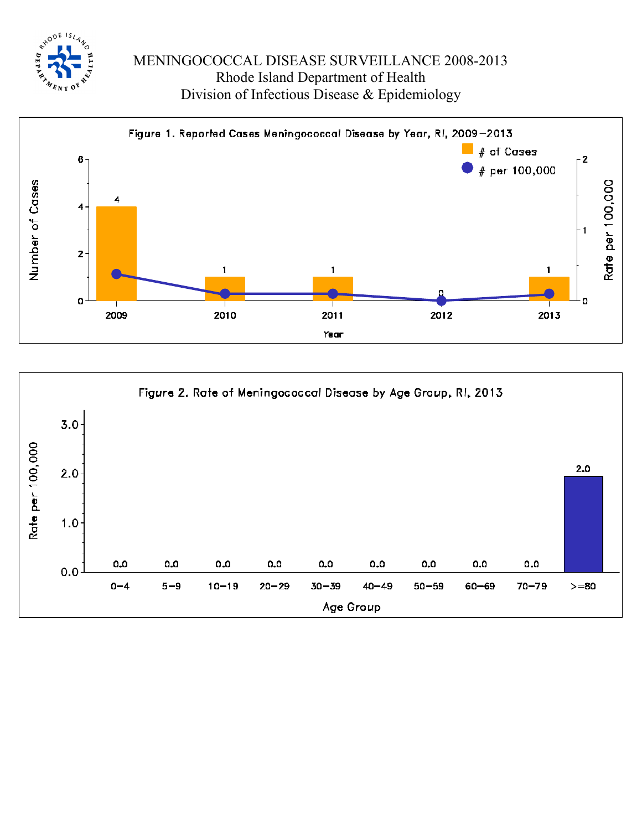



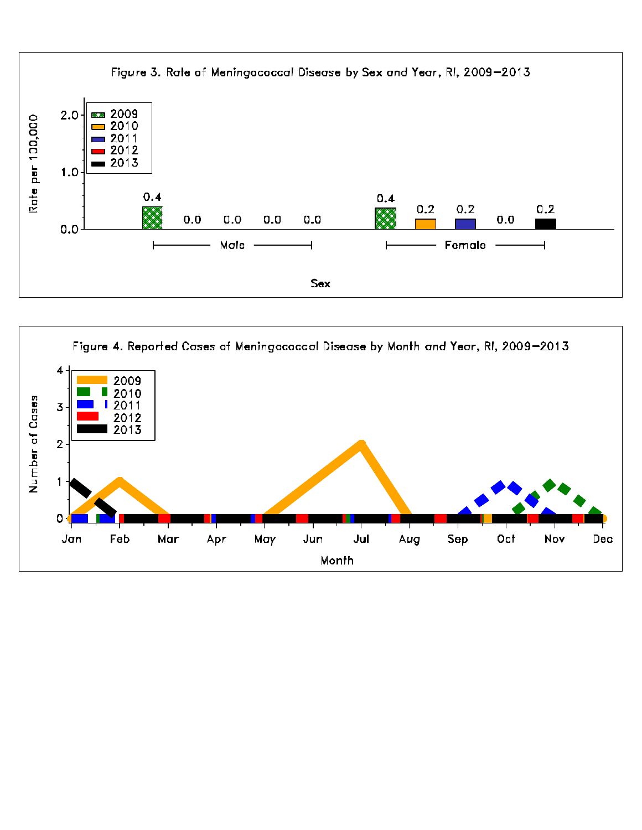

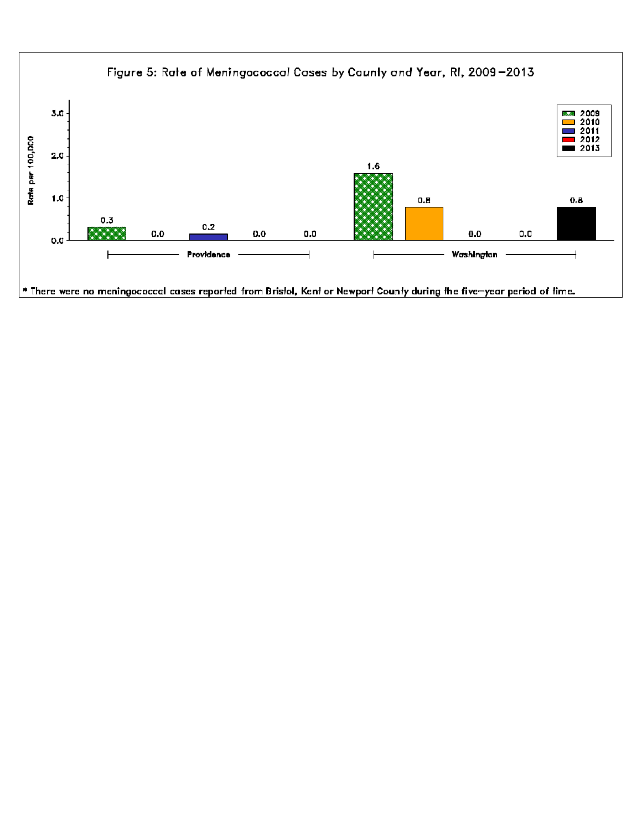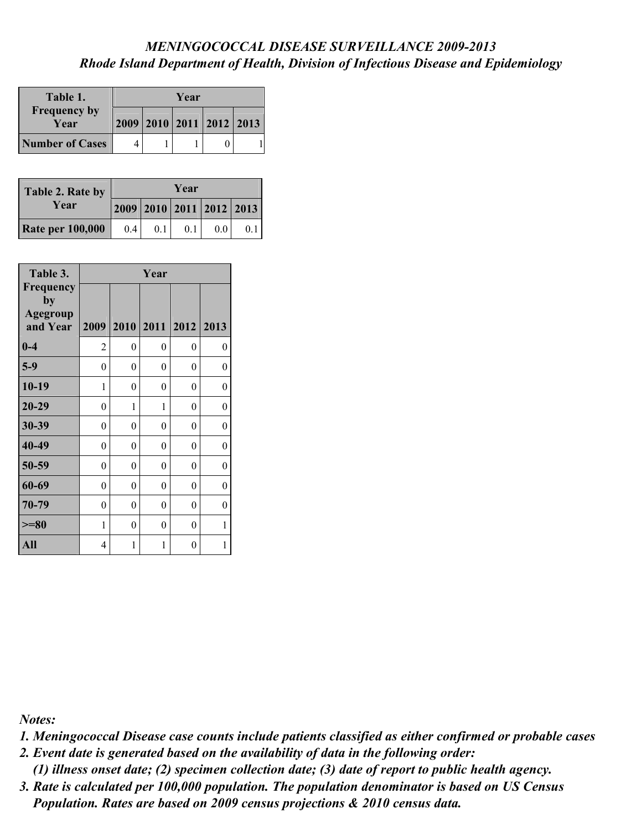| Table 1.                    | Year |  |                          |  |  |  |
|-----------------------------|------|--|--------------------------|--|--|--|
| <b>Frequency by</b><br>Year |      |  | 2009 2010 2011 2012 2013 |  |  |  |
| <b>Number of Cases</b>      |      |  |                          |  |  |  |

| Table 2. Rate by        | Year |                          |     |     |                |  |  |
|-------------------------|------|--------------------------|-----|-----|----------------|--|--|
| Year                    |      | 2009 2010 2011 2012 2013 |     |     |                |  |  |
| <b>Rate per 100,000</b> | 0.4  | 0.1                      | 0.1 | 0.0 | 0 <sub>1</sub> |  |  |

| Table 3.                                       | Year           |                |                  |   |                |  |  |  |
|------------------------------------------------|----------------|----------------|------------------|---|----------------|--|--|--|
| Frequency<br>by<br><b>Agegroup</b><br>and Year | 2009           |                | 2010 2011 2012   |   | 2013           |  |  |  |
| $0-4$                                          | $\overline{2}$ | $\overline{0}$ | $\boldsymbol{0}$ | 0 | $\overline{0}$ |  |  |  |
| $5-9$                                          | 0              | $\overline{0}$ | $\boldsymbol{0}$ | 0 | 0              |  |  |  |
| $10-19$                                        | 1              | $\overline{0}$ | $\boldsymbol{0}$ | 0 | $\overline{0}$ |  |  |  |
| $20 - 29$                                      | $\theta$       | 1              | 1                | 0 | $\theta$       |  |  |  |
| 30-39                                          | $\overline{0}$ | $\overline{0}$ | 0                | 0 | 0              |  |  |  |
| 40-49                                          | $\overline{0}$ | $\overline{0}$ | $\boldsymbol{0}$ | 0 | $\overline{0}$ |  |  |  |
| 50-59                                          | $\theta$       | 0              | 0                | 0 | 0              |  |  |  |
| 60-69                                          | 0              | $\overline{0}$ | $\boldsymbol{0}$ | 0 | $\overline{0}$ |  |  |  |
| 70-79                                          | $\theta$       | $\overline{0}$ | $\boldsymbol{0}$ | 0 | $\theta$       |  |  |  |
| $>= 80$                                        | 1              | $\theta$       | $\theta$         | 0 | 1              |  |  |  |
| All                                            | 4              | 1              | 1                | 0 | 1              |  |  |  |

*Notes:* 

*1. Meningococcal Disease case counts include patients classified as either confirmed or probable cases*

*2. Event date is generated based on the availability of data in the following order:*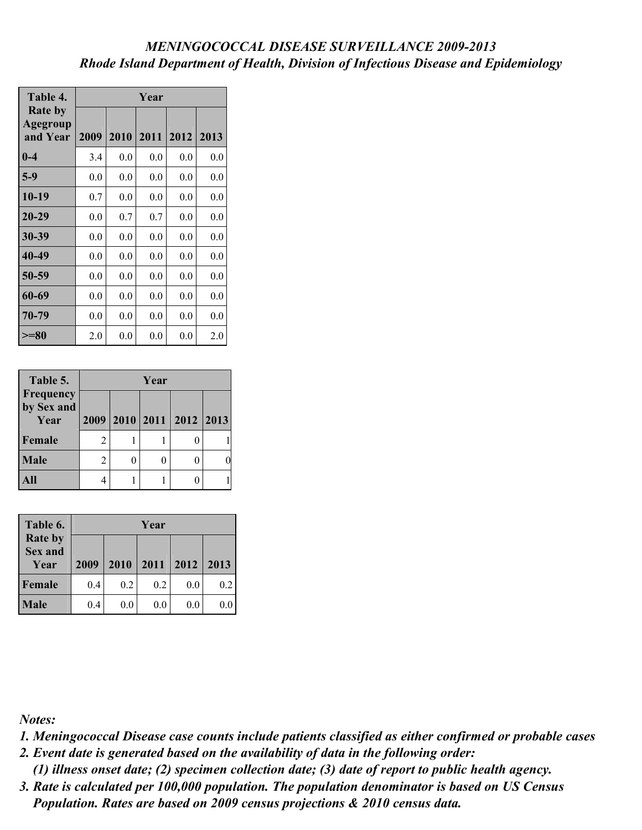| Table 4.                               | Year |      |      |      |      |  |  |  |
|----------------------------------------|------|------|------|------|------|--|--|--|
| <b>Rate by</b><br>Agegroup<br>and Year | 2009 | 2010 | 2011 | 2012 | 2013 |  |  |  |
| $0-4$                                  | 3.4  | 0.0  | 0.0  | 0.0  | 0.0  |  |  |  |
| $5-9$                                  | 0.0  | 0.0  | 0.0  | 0.0  | 0.0  |  |  |  |
| $10-19$                                | 0.7  | 0.0  | 0.0  | 0.0  | 0.0  |  |  |  |
| $20 - 29$                              | 0.0  | 0.7  | 0.7  | 0.0  | 0.0  |  |  |  |
| 30-39                                  | 0.0  | 0.0  | 0.0  | 0.0  | 0.0  |  |  |  |
| 40-49                                  | 0.0  | 0.0  | 0.0  | 0.0  | 0.0  |  |  |  |
| 50-59                                  | 0.0  | 0.0  | 0.0  | 0.0  | 0.0  |  |  |  |
| 60-69                                  | 0.0  | 0.0  | 0.0  | 0.0  | 0.0  |  |  |  |
| 70-79                                  | 0.0  | 0.0  | 0.0  | 0.0  | 0.0  |  |  |  |
| $>= 80$                                | 2.0  | 0.0  | 0.0  | 0.0  | 2.0  |  |  |  |

| Table 5.                        |   | Year |  |                          |  |  |  |
|---------------------------------|---|------|--|--------------------------|--|--|--|
| Frequency<br>by Sex and<br>Year |   |      |  | 2009 2010 2011 2012 2013 |  |  |  |
| Female                          | 2 |      |  |                          |  |  |  |
| Male                            | 2 |      |  |                          |  |  |  |
| $\mathbf{All}$                  |   |      |  |                          |  |  |  |

| Table 6.                                 |      | Year |      |      |      |  |  |
|------------------------------------------|------|------|------|------|------|--|--|
| <b>Rate by</b><br><b>Sex and</b><br>Year | 2009 | 2010 | 2011 | 2012 | 2013 |  |  |
| Female                                   | 0.4  | 0.2  | 0.2  | 0.0  | 0.2  |  |  |
| Male                                     | 0.4  | 0.0  | 0.0  | 0.0  | 0.0  |  |  |

*Notes:* 

*1. Meningococcal Disease case counts include patients classified as either confirmed or probable cases*

*2. Event date is generated based on the availability of data in the following order:*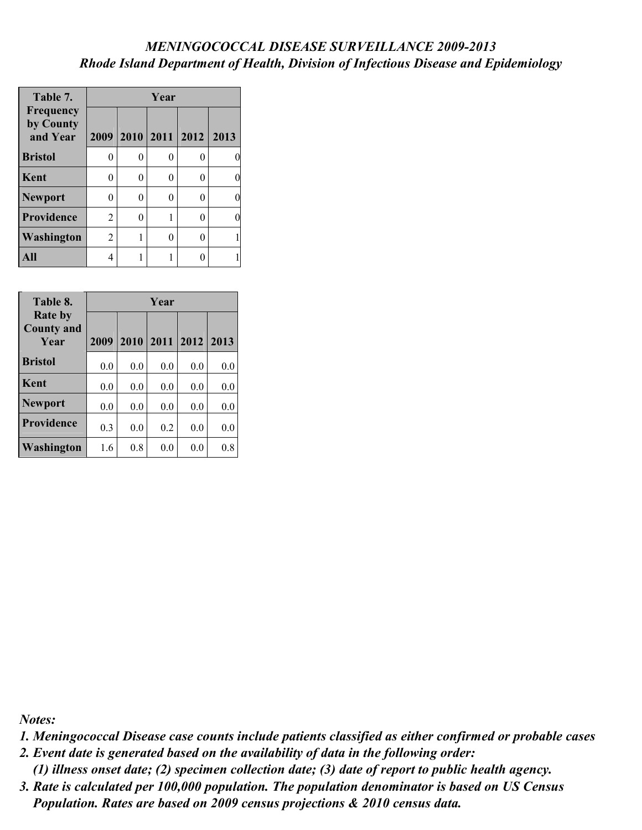| Table 7.                           | Year |   |   |                     |      |  |  |
|------------------------------------|------|---|---|---------------------|------|--|--|
| Frequency<br>by County<br>and Year |      |   |   | 2009 2010 2011 2012 | 2013 |  |  |
| <b>Bristol</b>                     | 0    | 0 | 0 | 0                   |      |  |  |
| Kent                               | 0    | 0 | 0 | 0                   |      |  |  |
| Newport                            | 0    | 0 | 0 | 0                   |      |  |  |
| <b>Providence</b>                  | 2    | 0 |   | 0                   |      |  |  |
| Washington                         | 2    | 1 | 0 | 0                   |      |  |  |
|                                    |      |   |   | 0                   |      |  |  |

| Table 8.                                    | Year |     |                |     |      |  |
|---------------------------------------------|------|-----|----------------|-----|------|--|
| <b>Rate by</b><br><b>County and</b><br>Year | 2009 |     | 2010 2011 2012 |     | 2013 |  |
| <b>Bristol</b>                              | 0.0  | 0.0 | 0.0            | 0.0 | 0.0  |  |
| Kent                                        | 0.0  | 0.0 | 0.0            | 0.0 | 0.0  |  |
| <b>Newport</b>                              | 0.0  | 0.0 | 0.0            | 0.0 | 0.0  |  |
| Providence                                  | 0.3  | 0.0 | 0.2            | 0.0 | 0.0  |  |
| Washington                                  | 1.6  | 0.8 | 0.0            | 0.0 | 0.8  |  |

*Notes:* 

*1. Meningococcal Disease case counts include patients classified as either confirmed or probable cases*

*2. Event date is generated based on the availability of data in the following order:*